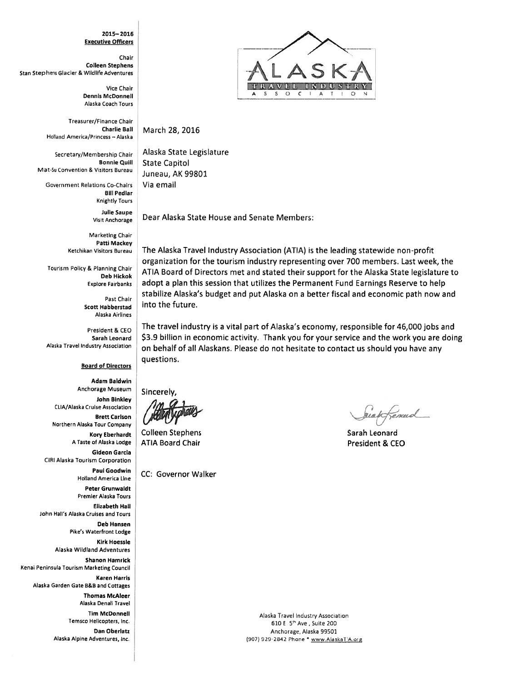#### $2015 - 2016$ **Executive Officers**

Chair **Colleen Stephens** Stan Stephens Glacier & Wildlife Adventures

> Vice Chair **Dennis McDonnell** Alaska Coach Tours

Treasurer/Finance Chair **Charlie Ball** Holland America/Princess -- Alaska

Secretary/Membership Chair **Bonnie Ouill** Mat-Su Convention & Visitors Bureau

Government Relations Co-Chairs **Bill Pedlar Knightly Tours** 

> **Julie Saupe Visit Anchorage**

Marketing Chair **Patti Mackey** Ketchikan Visitors Bureau

Tourism Policy & Planning Chair **Deb Hickok Explore Fairbanks** 

> Past Chair **Scott Habberstad** Alaska Airlines

President & CEO Sarah Leonard Alaska Travel Industry Association

### **Board of Directors**

**Adam Baldwin** Anchorage Museum John Binkley CLIA/Alaska Cruise Association **Brett Carlson** Northern Alaska Tour Company **Kory Eberhardt** A Taste of Alaska Lodge Gideon Garcia CIRI Alaska Tourism Corporation **Paul Goodwin Holland America Line** Peter Grunwaldt Premier Alaska Tours **Elizabeth Hall** John Hall's Alaska Cruises and Tours

> **Deb Hansen Pike's Waterfront Lodge**

**Kirk Hoessle** Alaska Wildland Adventures

**Shanon Hamrick** Kenai Peninsula Tourism Marketing Council

**Karen Harris** Alaska Garden Gate B&B and Cottages

> **Thomas McAleer** Alaska Denali Travel

**Tim McDonnell** Temsco Helicopters, Inc.

Dan Oberlatz Alaska Alpine Adventures, Inc.



March 28, 2016

Alaska State Legislature **State Capitol** Juneau, AK 99801 Via email

Dear Alaska State House and Senate Members:

The Alaska Travel Industry Association (ATIA) is the leading statewide non-profit organization for the tourism industry representing over 700 members. Last week, the ATIA Board of Directors met and stated their support for the Alaska State legislature to adopt a plan this session that utilizes the Permanent Fund Earnings Reserve to help stabilize Alaska's budget and put Alaska on a better fiscal and economic path now and into the future.

The travel industry is a vital part of Alaska's economy, responsible for 46,000 jobs and \$3.9 billion in economic activity. Thank you for your service and the work you are doing on behalf of all Alaskans. Please do not hesitate to contact us should you have any questions.

**Sincerely** 

**Colleen Stephens ATIA Board Chair** 

CC: Governor Walker

énud

Sarah Leonard President & CEO

Alaska Travel Industry Association 610 E. 5th Ave., Suite 200 Anchorage, Alaska 99501 (907) 929-2842 Phone \* www.AlaskaTIA.org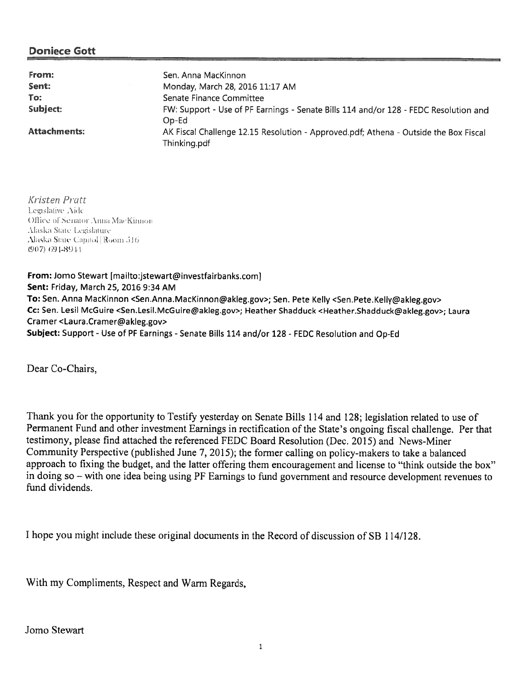| From:               | Sen. Anna MacKinnon                                                                                  |  |
|---------------------|------------------------------------------------------------------------------------------------------|--|
| Sent:               | Monday, March 28, 2016 11:17 AM                                                                      |  |
| To:                 | Senate Finance Committee                                                                             |  |
| Subject:            | FW: Support - Use of PF Earnings - Senate Bills 114 and/or 128 - FEDC Resolution and<br>Op-Ed        |  |
| <b>Attachments:</b> | AK Fiscal Challenge 12.15 Resolution - Approved.pdf; Athena - Outside the Box Fiscal<br>Thinking.pdf |  |

Kristen Pratt Legislative Aide Office of Senator Anna MacKinnon Alaska Stäte Legislature Alaska State Capitol Room 516  $(907) 691 - 8911$ 

From: Jomo Stewart [mailto:jstewart@investfairbanks.com] Sent: Friday, March 25, 2016 9:34 AM To: Sen. Anna MacKinnon <Sen.Anna.MacKinnon@akleg.gov>; Sen. Pete Kelly <Sen.Pete.Kelly@akleg.gov> Cc: Sen. Lesil McGuire <Sen,Lesil.McGuire@akleg.gov>; Heather Shadduck <Heather.Shadduck@akleg.gov>; Laura Cramer <Laura.Cramer@akleg.gov> Subject: Support - Use of PF Earnings - Senate Bills 114 and/or 128 - FEDC Resolution and Op-Ed

Dear Co-Chairs,

Thank you for the opportunity to Testify yesterday on Senate Bills 114 and 128; legislation related to use of Permanent Fund and other investment Earnings in rectification of the State's ongoing fiscal challenge. Per that testimony, please find attached the referenced FEDC Board Resolution (Dec. 2015) and News-Miner Community Perspective (published June 7, 2015); the former calling on policy-makers to take <sup>a</sup> balanced approac<sup>h</sup> to fixing the budget, and the latter offering them encouragemen<sup>t</sup> and license to "think outside the box" in doing so – with one idea being using PF Earnings to fund government and resource development revenues to fund dividends.

<sup>I</sup> hope you might include these original documents in the Record of discussion of SB 114/128.

With my Compliments, Respect and Warm Regards,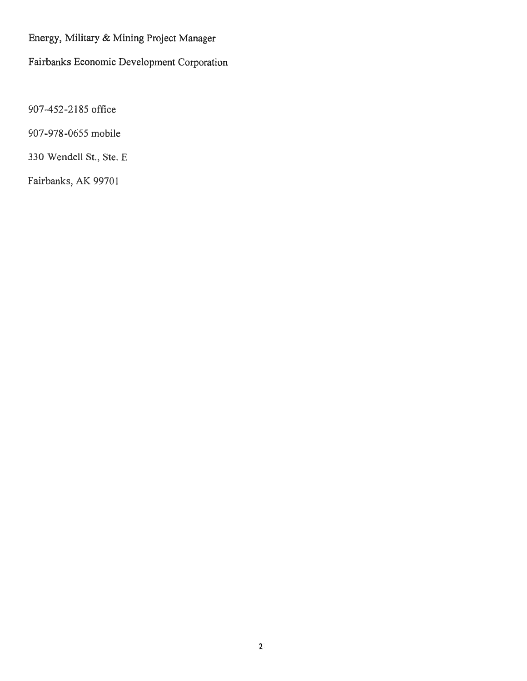Energy, Military & Mining Project Manager

Fairbanks Economic Development Corporation

907-452-2185 office

907-978-0655 mobile

330 Wendell St., Ste. E

Fairbanks, AK 99701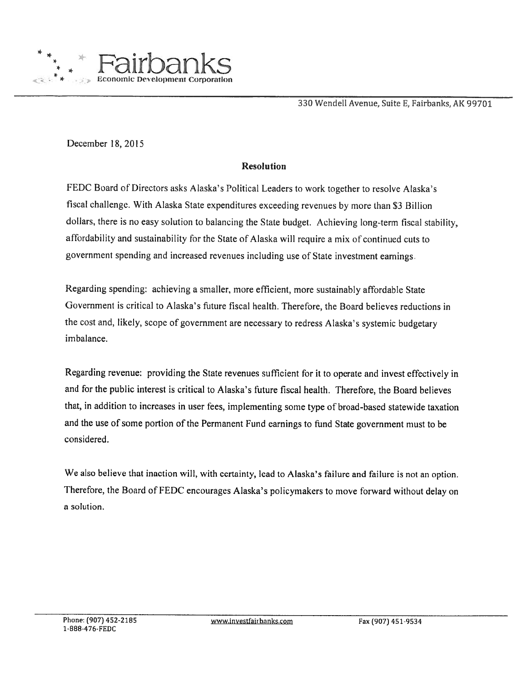

330 Wendell Avenue, Suite E, Fairbanks, AK 99701

December 18, 2015

### Resolution

FEDC Board of Directors asks Alaska's Political Leaders to work together to resolve Alaska's fiscal challenge. With Alaska State expenditures exceeding revenues by more than \$3 Billion dollars, there is no easy solution to balancing the State budget. Achieving long-term fiscal stability, affordability and sustainability for the State of Alaska will require a mix of continued cuts to governmen<sup>t</sup> spending and increased revenues including use of State investment earnings

Regarding spending: achieving <sup>a</sup> smaller, more efficient, more sustainably affordable State Government is critical to Alaska's future fiscal health. Therefore, the Board believes reductions in the cost and, likely, scope of government are necessary to redress Alaska's systemic budgetary imbalance.

Regarding revenue: providing the Slate revenues sufficient for it to operate and invest effectively in and for the public interest is critical to Alaska's future fiscal health. Therefore, the Board believes that, in addition to increases in user fees, implementing some type of broad-based statewide taxation and the use of some portion of the Permanent Fund earnings to fund State government must to be considered.

We also believe that inaction will, with certainty, lead to Alaska's failure and failure is not an option. Therefore, the Board of FEDC encourages Alaska's policymakers to move forward without delay on <sup>a</sup> solution.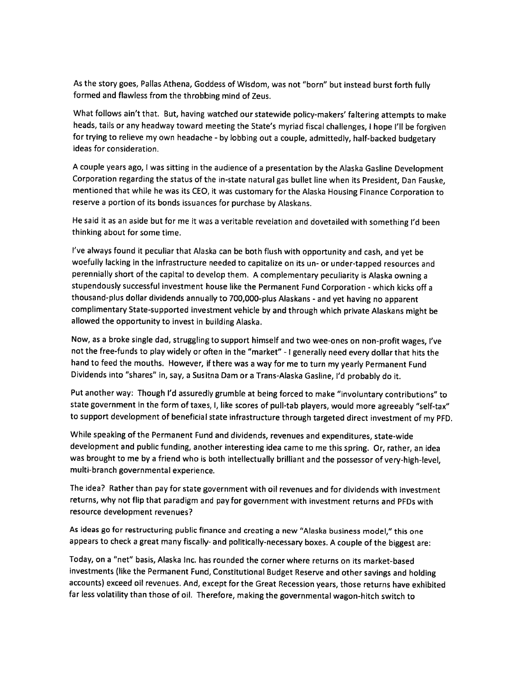As the story goes, Pallas Athena, Goddess of Wisdom, was not "born" but instead burst forth fully formed and flawless from the throbbing mind of Zeus,

What follows ain't that. But, having watched our statewide policy-makers' faltering attempts to make heads, tails or any headway toward meeting the State's myriad fiscal challenges, I hope I'll be forgiven for trying to relieve my own headache - by lobbing out a couple, admittedly, half-backed budgetary ideas for consideration.

<sup>A</sup> couple years ago, <sup>I</sup> was sitting in the audience of <sup>a</sup> presentation by the Alaska Gasilne Development Corporation regarding the status of the in-state natural gas bullet line when its President, Dan Fauske, mentioned that while he was its CEO, it was customary for the Alaska Housing Finance Corporation to reserve <sup>a</sup> portion of its bonds issuances for purchase by Alaskans.

He said it as an aside but for me it was <sup>a</sup> veritable revelation and dovetailed with something I'd been thinking about for some time.

I've always found it peculiar that Alaska can be both flush with opportunity and cash, and ye<sup>t</sup> be woefully lacking in the infrastructure needed to capitalize on its un- or under-tapped resources and perennially short of the capital to develop them. <sup>A</sup> complementary peculiarity is Alaska owning <sup>a</sup> stupendously successful investment house like the Permanent Fund Corporation - which kicks off <sup>a</sup> thousand-plus dollar dividends annually to 700,000-plus Alaskans - and ye<sup>t</sup> having no apparent complimentary State-supported investment vehicle by and through which private Alaskans might be allowed the opportunity to invest in building Alaska.

Now, as <sup>a</sup> broke single dad, struggling to support himself and two wee-ones on non-profit wages, I've not the free-funds to <sup>p</sup>lay widely or often in the "market" - <sup>I</sup> generally need every dollar that hits the hand to feed the mouths. However, if there was <sup>a</sup> way for me to turn my yearly Permanent Fund Dividends into "shares" in, say, <sup>a</sup> Susitna Dam or <sup>a</sup> Trans-Alaska Gasline, I'd probably do it.

Put another way: Though I'd assuredly grumble at being forced to make "involuntary contributions" to state government in the form of taxes, I, like scores of pull-tab <sup>p</sup>layers, would more agreeably "self-tax" to support development of beneficial state infrastructure through targeted direct investment of my PFD.

While speaking of the Permanent Fund and dividends, revenues and expenditures, state-wide development and public funding, another interesting idea came to me this spring. Or, rather, an idea was brought to me by <sup>a</sup> friend who is both intellectually brilliant and the possessor of very-high-level, multi-branch governmental experience.

The idea? Rather than pay for state government with oil revenues and for dividends with investment returns, why not flip that paradigm and pay for government with investment returns and PFDs with resource development revenues?

As ideas go for restructuring public finance and creating <sup>a</sup> new "Alaska business model," this one appears to check <sup>a</sup> great many fiscally- and politically-necessary boxes. <sup>A</sup> couple of the biggest are:

Today, on <sup>a</sup> "net" basis, Alaska Inc. has rounded the corner where returns on its market-based investments (like the Permanent Fund, Constitutional Budget Reserve and other savings and holding accounts) exceed oil revenues. And, except for the Great Recession years, those returns have exhibited far less volatility than those of oil. Therefore, making the governmental wagon-hitch switch to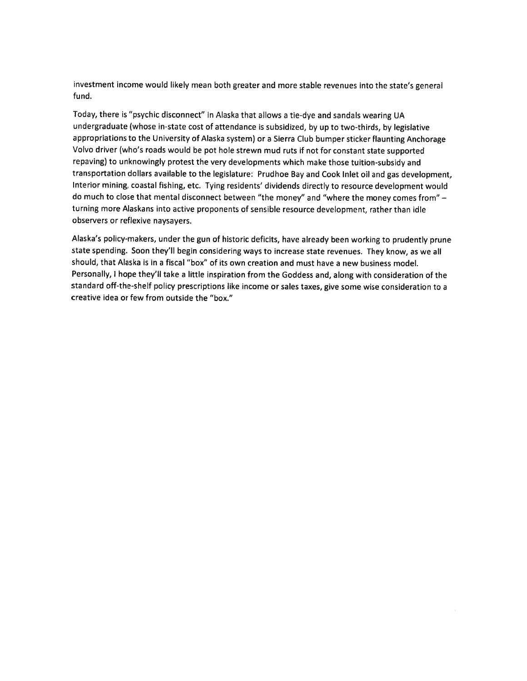investment income would likely mean both greater and more stable revenues into the state's genera<sup>l</sup> fund,

Today, there is "psychic disconnect" in Alaska that allows <sup>a</sup> tie-dye and sandals wearing UA undergraduate (whose in-state cost of attendance is subsidized, by up to two-thirds, by legislative appropriations to the University of Alaska system) or <sup>a</sup> Sierra Club bumper sticker flaunting Anchorage Volvo driver (who's roads would be po<sup>t</sup> hole strewn mud ruts if not for constant state supported repaving) to unknowingly protest the very developments which make those tuition-subsidy and transportation dollars available to the legislature: Prudhoe Bay and Cook Inlet oil and gas development, Interior mining, coastal fishing, etc. Tying residents' dividends directly to resource development would do much to close that mental disconnect between "the money" and "where the money comes from" turning more Alaskans into active proponents of sensible resource development, rather than idle observers or reflexive naysayers.

Alaska's policy-makers, under the gun of historic deficits, have already been working to prudently prune state spending. Soon they'll begin considering ways to increase state revenues. They know, as we all should, that Alaska is in <sup>a</sup> fiscal 'box" of its own creation and must have <sup>a</sup> new business model. Personally, <sup>I</sup> hope they'll take <sup>a</sup> little inspiration from the Goddess and, along with consideration of the standard off-the-shelf policy prescriptions like income or sales taxes, <sup>g</sup>ive some wise consideration to <sup>a</sup> creative idea or few from outside the "box."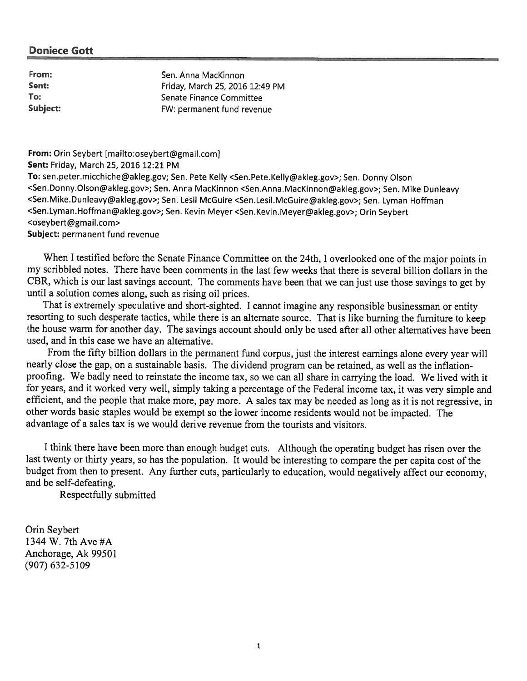| From:    | Sen. Anna MacKinnon             |
|----------|---------------------------------|
| Sent:    | Friday, March 25, 2016 12:49 PM |
| To:      | Senate Finance Committee        |
| Subject: | FW: permanent fund revenue      |

From: Orin Seybert [mailto:oseybert@gmail.com]

Sent: Friday, March 25, 2016 12:21 PM

To: sen.peter.micchiche@akleg.gov; Sen. Pete Kelly <Sen.Pete.Kelly@akleg.gov>; Sen. Donny Olson <Sen.Donny.Olson@akleg.gov>; Sen. Anna MacKinnon <Sen.Anna.MacKinnon@akleg.gov>; Sen. Mike Dunleavy <Sen.Mike.Dunleavy@akleg.gov>; Sen. Lesil McGuire <Sen.Lesil.McGuire@akleg.gov>; Sen. Lyman Hoffman <Sen.Lyman.Hoffman@akleg.gov>; Sen. Kevin Meyer <Sen.Kevin.Meyer@akleg.gov>; Orin Seybert <oseybert@gmail.com> Subject: permanen<sup>t</sup> fund revenue

When <sup>I</sup> testified before the Senate Finance Committee on the 24th, <sup>1</sup> overlooked one of the major points in my scribbled notes. There have been comments in the last few weeks that there is several billion dollars in the CBR, which is our last savings account. The comments have been that we can just use those savings to ge<sup>t</sup> by until <sup>a</sup> solution comes along, such as rising oil prices.

That is extremely speculative and short-sighted. <sup>I</sup> cannot imagine any responsible businessman or entity resorting to such desperate tactics, while there is an alternate source. That is like burning the furniture to keep the house warm for another day. The savings account should only be used after all other alternatives have been used, and in this case we have an alternative.

From the fifty billion dollars in the permanen<sup>t</sup> fund corpus, just the interest earnings alone every year will nearly close the gap, on <sup>a</sup> sustainable basis. The dividend program can be retained, as well as the inflationproofing. We badly need to reinstate the income tax, so we can all share in carrying the load. We lived with it for years, and it worked very well, simply taking <sup>a</sup> percentage of the Federal income tax, it was very simple and efficient, and the people that make more, pay more. <sup>A</sup> sales tax may be needed as long as it is not regressive, in other words basic staples would be exemp<sup>t</sup> so the lower income residents would not be impacted. The advantage of <sup>a</sup> sales tax is we would derive revenue from the tourists and visitors.

<sup>I</sup> think there have been more than enoug<sup>h</sup> budget cuts. Although the operating budget has risen over the last twenty or thirty years, so has the population. It would be interesting to compare the per capita cost of the budget from then to present. Any further cuts, particularly to education, would negatively affect our economy, and be self-defeating.

Respectfully submitted

Orin Seybert 1344 W. 7th Ave #A Anchorage, Ak 99501 (907) 632-5109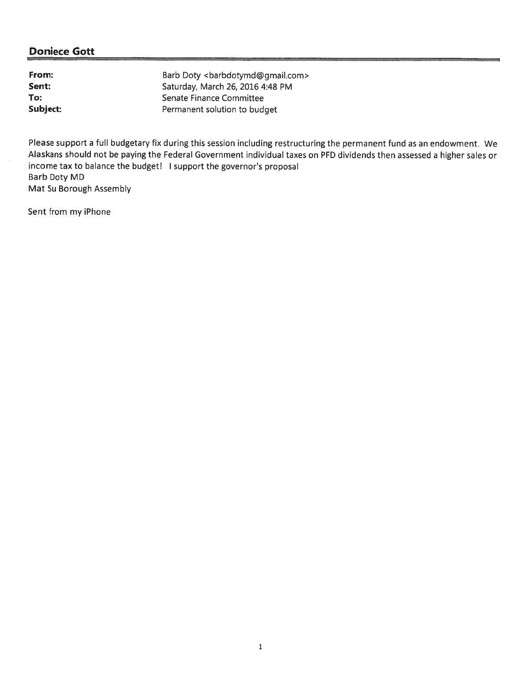| From:    | Barb Doty<br><br>barbdotymd@gmail.com> |
|----------|----------------------------------------|
| Sent:    | Saturday, March 26, 2016 4:48 PM       |
| To:      | Senate Finance Committee               |
| Subject: | Permanent solution to budget           |

Pease suppor<sup>t</sup> <sup>a</sup> full budgetary fix during this session including restructuring the permanen<sup>t</sup> fund as an endowment. We Alaskans should not be paying the Federal Government individual taxes on PFD dividends then assessed a higher sales or income tax to balance the budget! I support the governor's proposal Barb Doty MD Mat Su Borough Assembly

Sent from my iPhone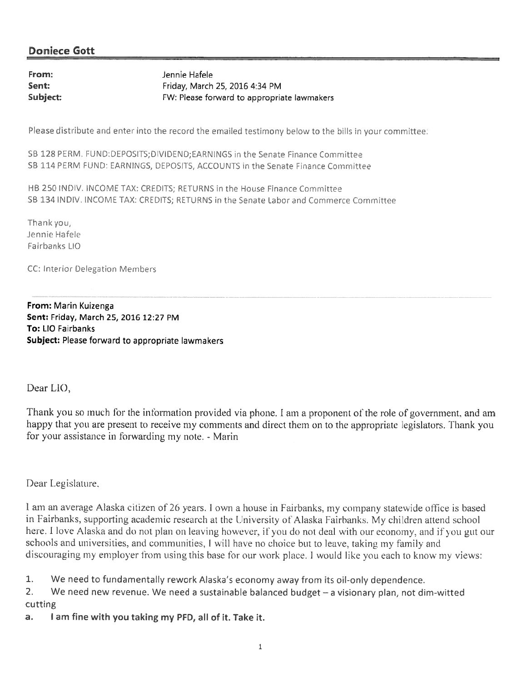From: Sent: Subject: Jennie Hafele Friday, March 25, 2016 4:34 PM FW: Please forward to appropriate lawmakers

Please distribute and enter into the record the emailed testimony below to the bills in your committee:

SB 128 PERM. FUND:DEPOSITS; DIVIDEND; EARNINGS in the Senate Finance Committee SB 114 PERM FUND: EARNINGS, DEPOSITS, ACCOUNTS in the Senate Finance Committee

HB 250 INDIV. INCOME TAX: CREDITS; RETURNS in the House Finance Committee SB 134 INDIV. INCOME TAX: CREDITS; RETURNS in the Senate Labor and Commerce Committee

Thank you, Jennie Hafele Fairbanks LIO

CC: Interior Delegation Members

From: Marin Kuizenga Sent: Friday, March 25, 2016 12:27 PM To: LIO Fairbanks Subject: Please forward to appropriate lawmakers

Dear LIO,

Thank you so much for the information provided via phone. I am a proponent of the role of government, and am happy that you are present to receive my comments and direct them on to the appropriate legislators. Thank you for your assistance in forwarding my note. - Marin

Dear Legislature.

I am an average Alaska citizen of 26 years. I own a house in Fairbanks, my company statewide office is based in Fairbanks, supporting academic research at the University of Alaska Fairbanks. My children attend school here. I love Alaska and do not plan on leaving however, if you do not deal with our economy, and if you gut our schools and universities, and communities, I will have no choice but to leave, taking my family and discouraging my employer from using this base for our work place. I would like you each to know my views:

 $1.$ We need to fundamentally rework Alaska's economy away from its oil-only dependence.

 $2.$ We need new revenue. We need a sustainable balanced budget  $-$  a visionary plan, not dim-witted cutting

I am fine with you taking my PFD, all of it. Take it.  $a.$